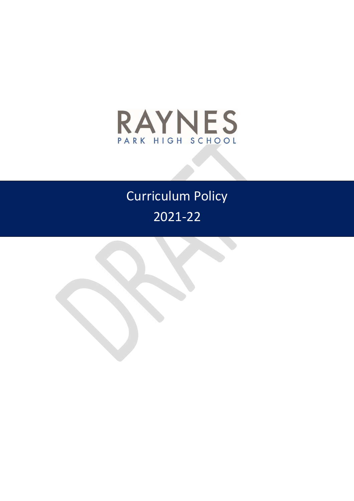

# Curriculum Policy 2021-22

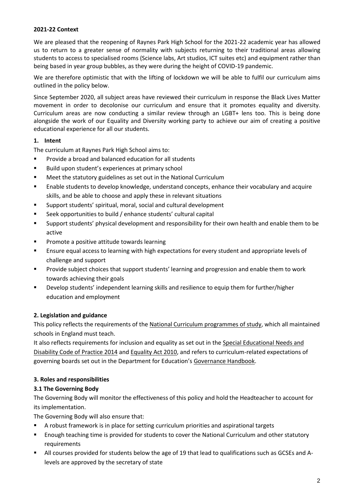## **2021-22 Context**

We are pleased that the reopening of Raynes Park High School for the 2021-22 academic year has allowed us to return to a greater sense of normality with subjects returning to their traditional areas allowing students to access to specialised rooms (Science labs, Art studios, ICT suites etc) and equipment rather than being based in year group bubbles, as they were during the height of COVID-19 pandemic.

We are therefore optimistic that with the lifting of lockdown we will be able to fulfil our curriculum aims outlined in the policy below.

Since September 2020, all subject areas have reviewed their curriculum in response the Black Lives Matter movement in order to decolonise our curriculum and ensure that it promotes equality and diversity. Curriculum areas are now conducting a similar review through an LGBT+ lens too. This is being done alongside the work of our Equality and Diversity working party to achieve our aim of creating a positive educational experience for all our students.

## **1. Intent**

The curriculum at Raynes Park High School aims to:

- **Provide a broad and balanced education for all students**
- Build upon student's experiences at primary school
- **EXTERGHTM** Meet the statutory guidelines as set out in the National Curriculum
- Enable students to develop knowledge, understand concepts, enhance their vocabulary and acquire skills, and be able to choose and apply these in relevant situations
- Support students' spiritual, moral, social and cultural development
- Seek opportunities to build / enhance students' cultural capital
- Support students' physical development and responsibility for their own health and enable them to be active
- **Promote a positive attitude towards learning**
- Ensure equal access to learning with high expectations for every student and appropriate levels of challenge and support
- **Provide subject choices that support students' learning and progression and enable them to work** towards achieving their goals
- Develop students' independent learning skills and resilience to equip them for further/higher education and employment

# **2. Legislation and guidance**

This policy reflects the requirements of the [National Curriculum programmes of study,](https://www.gov.uk/government/collections/national-curriculum) which all maintained schools in England must teach.

It also reflects requirements for inclusion and equality as set out in th[e Special Educational Needs and](https://www.gov.uk/government/publications/send-code-of-practice-0-to-25)  [Disability Code of Practice](https://www.gov.uk/government/publications/send-code-of-practice-0-to-25) 2014 an[d Equality Act 2010,](http://www.legislation.gov.uk/ukpga/2010/15/part/6/chapter/1) and refers to curriculum-related expectations of governing boards set out in the Department for Education's [Governance Handbook.](https://www.gov.uk/government/publications/governance-handbook)

## **3. Roles and responsibilities**

## **3.1 The Governing Body**

The Governing Body will monitor the effectiveness of this policy and hold the Headteacher to account for its implementation.

The Governing Body will also ensure that:

- A robust framework is in place for setting curriculum priorities and aspirational targets
- Enough teaching time is provided for students to cover the National Curriculum and other statutory requirements
- All courses provided for students below the age of 19 that lead to qualifications such as GCSEs and Alevels are approved by the secretary of state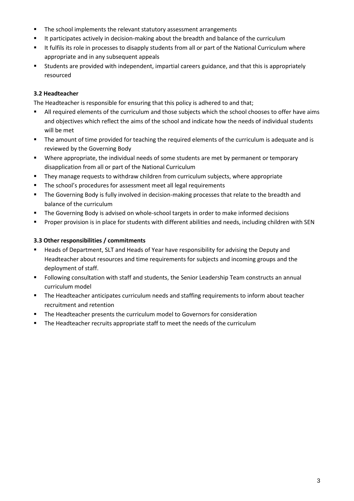- The school implements the relevant statutory assessment arrangements
- It participates actively in decision-making about the breadth and balance of the curriculum
- It fulfils its role in processes to disapply students from all or part of the National Curriculum where appropriate and in any subsequent appeals
- Students are provided with independent, impartial careers guidance, and that this is appropriately resourced

## **3.2 Headteacher**

The Headteacher is responsible for ensuring that this policy is adhered to and that;

- All required elements of the curriculum and those subjects which the school chooses to offer have aims and objectives which reflect the aims of the school and indicate how the needs of individual students will be met
- **The amount of time provided for teaching the required elements of the curriculum is adequate and is** reviewed by the Governing Body
- Where appropriate, the individual needs of some students are met by permanent or temporary disapplication from all or part of the National Curriculum
- They manage requests to withdraw children from curriculum subjects, where appropriate
- **The school's procedures for assessment meet all legal requirements**
- **The Governing Body is fully involved in decision-making processes that relate to the breadth and** balance of the curriculum
- **The Governing Body is advised on whole-school targets in order to make informed decisions**
- Proper provision is in place for students with different abilities and needs, including children with SEN

## **3.3 Other responsibilities / commitments**

- **Heads of Department, SLT and Heads of Year have responsibility for advising the Deputy and** Headteacher about resources and time requirements for subjects and incoming groups and the deployment of staff.
- **F** Following consultation with staff and students, the Senior Leadership Team constructs an annual curriculum model
- **The Headteacher anticipates curriculum needs and staffing requirements to inform about teacher** recruitment and retention
- **The Headteacher presents the curriculum model to Governors for consideration**
- **The Headteacher recruits appropriate staff to meet the needs of the curriculum**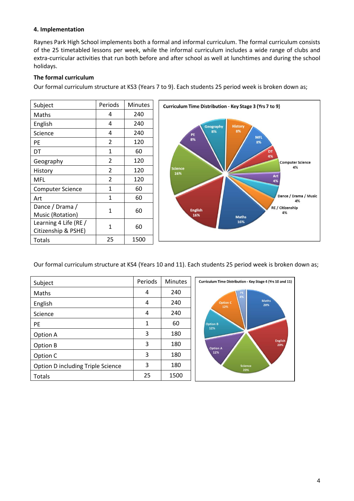## **4. Implementation**

Raynes Park High School implements both a formal and informal curriculum. The formal curriculum consists of the 25 timetabled lessons per week, while the informal curriculum includes a wide range of clubs and extra-curricular activities that run both before and after school as well at lunchtimes and during the school holidays.

# **The formal curriculum**

Our formal curriculum structure at KS3 (Years 7 to 9). Each students 25 period week is broken down as;

| Subject                                      | Periods                  | Minutes |
|----------------------------------------------|--------------------------|---------|
| Maths                                        | 4                        | 240     |
| English                                      | 4                        | 240     |
| Science                                      | 4                        | 240     |
| PE                                           | $\overline{2}$           | 120     |
| DT                                           | 1                        | 60      |
| Geography                                    | $\overline{2}$           | 120     |
| History                                      | $\overline{\mathcal{L}}$ | 120     |
| MFL                                          | $\overline{2}$           | 120     |
| <b>Computer Science</b>                      | 1                        | 60      |
| Art                                          | 1                        | 60      |
| Dance / Drama /<br>Music (Rotation)          | 1                        | 60      |
| Learning 4 Life (RE /<br>Citizenship & PSHE) | 1                        | 60      |
| Totals                                       | 25                       | 1500    |



Our formal curriculum structure at KS4 (Years 10 and 11). Each students 25 period week is broken down as;

| Subject                           | Periods | <b>Minutes</b> | Curriculum Time Distribution - Key Stage 4 (Yrs 10 and 11) |
|-----------------------------------|---------|----------------|------------------------------------------------------------|
| Maths                             | 4       | 240            | PE<br>4%                                                   |
| English                           | 4       | 240            | <b>Maths</b><br><b>Option C</b><br>20%<br>12%              |
| Science                           | 4       | 240            |                                                            |
| <b>PE</b>                         | 1       | 60             | <b>Option B</b><br>12%                                     |
| Option A                          | 3       | 180            |                                                            |
| Option B                          | 3       | 180            | <b>English</b><br>20%<br><b>Option A</b>                   |
| Option C                          | 3       | 180            | 12%                                                        |
| Option D including Triple Science | 3       | 180            | <b>Science</b><br>20%                                      |
| Totals                            | 25      | 1500           |                                                            |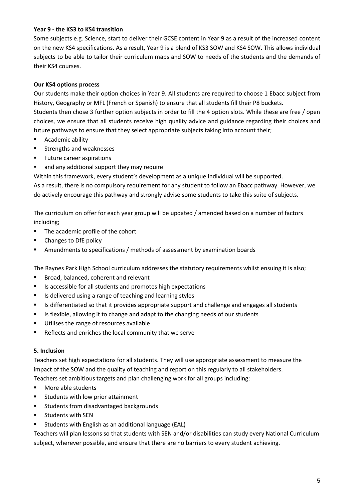## **Year 9 - the KS3 to KS4 transition**

Some subjects e.g. Science, start to deliver their GCSE content in Year 9 as a result of the increased content on the new KS4 specifications. As a result, Year 9 is a blend of KS3 SOW and KS4 SOW. This allows individual subjects to be able to tailor their curriculum maps and SOW to needs of the students and the demands of their KS4 courses.

#### **Our KS4 options process**

Our students make their option choices in Year 9. All students are required to choose 1 Ebacc subject from History, Geography or MFL (French or Spanish) to ensure that all students fill their P8 buckets. Students then chose 3 further option subjects in order to fill the 4 option slots. While these are free / open choices, we ensure that all students receive high quality advice and guidance regarding their choices and future pathways to ensure that they select appropriate subjects taking into account their;

- Academic ability
- **EXECUTE:** Strengths and weaknesses
- **Future career aspirations**
- and any additional support they may require

Within this framework, every student's development as a unique individual will be supported. As a result, there is no compulsory requirement for any student to follow an Ebacc pathway. However, we do actively encourage this pathway and strongly advise some students to take this suite of subjects.

The curriculum on offer for each year group will be updated / amended based on a number of factors including;

- The academic profile of the cohort
- **•** Changes to DfE policy
- **Amendments to specifications / methods of assessment by examination boards**

The Raynes Park High School curriculum addresses the statutory requirements whilst ensuing it is also;

- Broad, balanced, coherent and relevant
- Is accessible for all students and promotes high expectations
- **IF** Is delivered using a range of teaching and learning styles
- In Is differentiated so that it provides appropriate support and challenge and engages all students
- Is flexible, allowing it to change and adapt to the changing needs of our students
- Utilises the range of resources available
- Reflects and enriches the local community that we serve

#### **5. Inclusion**

Teachers set high expectations for all students. They will use appropriate assessment to measure the impact of the SOW and the quality of teaching and report on this regularly to all stakeholders. Teachers set ambitious targets and plan challenging work for all groups including:

- More able students
- **EXTENDING** Students with low prior attainment
- **EXECUTE:** Students from disadvantaged backgrounds
- **EXECUTE:** Students with SEN
- Students with English as an additional language (EAL)

Teachers will plan lessons so that students with SEN and/or disabilities can study every National Curriculum subject, wherever possible, and ensure that there are no barriers to every student achieving.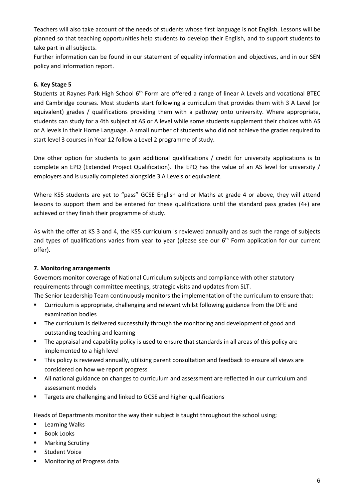Teachers will also take account of the needs of students whose first language is not English. Lessons will be planned so that teaching opportunities help students to develop their English, and to support students to take part in all subjects.

Further information can be found in our statement of equality information and objectives, and in our SEN policy and information report.

## **6. Key Stage 5**

Students at Raynes Park High School 6<sup>th</sup> Form are offered a range of linear A Levels and vocational BTEC and Cambridge courses. Most students start following a curriculum that provides them with 3 A Level (or equivalent) grades / qualifications providing them with a pathway onto university. Where appropriate, students can study for a 4th subject at AS or A level while some students supplement their choices with AS or A levels in their Home Language. A small number of students who did not achieve the grades required to start level 3 courses in Year 12 follow a Level 2 programme of study.

One other option for students to gain additional qualifications / credit for university applications is to complete an EPQ (Extended Project Qualification). The EPQ has the value of an AS level for university / employers and is usually completed alongside 3 A Levels or equivalent.

Where KS5 students are yet to "pass" GCSE English and or Maths at grade 4 or above, they will attend lessons to support them and be entered for these qualifications until the standard pass grades (4+) are achieved or they finish their programme of study.

As with the offer at KS 3 and 4, the KS5 curriculum is reviewed annually and as such the range of subjects and types of qualifications varies from year to year (please see our 6<sup>th</sup> Form application for our current offer).

## **7. Monitoring arrangements**

Governors monitor coverage of National Curriculum subjects and compliance with other statutory requirements through committee meetings, strategic visits and updates from SLT.

The Senior Leadership Team continuously monitors the implementation of the curriculum to ensure that:

- Curriculum is appropriate, challenging and relevant whilst following guidance from the DFE and examination bodies
- **The curriculum is delivered successfully through the monitoring and development of good and** outstanding teaching and learning
- The appraisal and capability policy is used to ensure that standards in all areas of this policy are implemented to a high level
- **This policy is reviewed annually, utilising parent consultation and feedback to ensure all views are** considered on how we report progress
- All national guidance on changes to curriculum and assessment are reflected in our curriculum and assessment models
- **Targets are challenging and linked to GCSE and higher qualifications**

Heads of Departments monitor the way their subject is taught throughout the school using;

- **Learning Walks**
- **Book Looks**
- **Marking Scrutiny**
- **Student Voice**
- **Monitoring of Progress data**